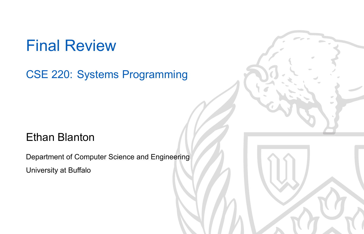Final Review

CSE 220: Systems Programming

### Ethan Blanton

Department of Computer Science and Engineering University at Buffalo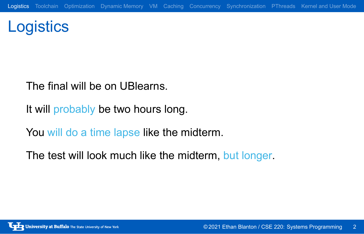**Logistics** 

The final will be on UBlearns.

It will probably be two hours long.

You will do a time lapse like the midterm.

The test will look much like the midterm, but longer.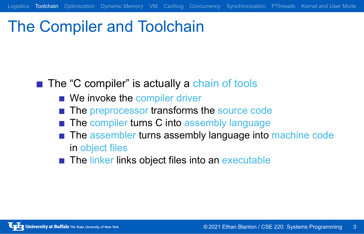## The Compiler and Toolchain

- The "C compiler" is actually a chain of tools
	- We invoke the compiler driver
	- The preprocessor transforms the source code

- The compiler turns C into assembly language
- The assembler turns assembly language into machine code in object files
- The linker links object files into an executable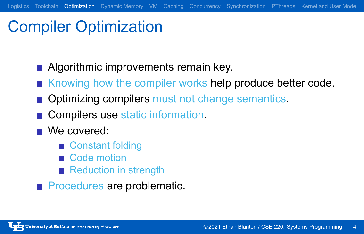# Compiler Optimization

- **Algorithmic improvements remain key.**
- Knowing how the compiler works help produce better code.
- **Optimizing compilers must not change semantics.**
- Compilers use static information.
- We covered:
	- Constant folding
	- Code motion
	- Reduction in strength
- **Procedures are problematic.**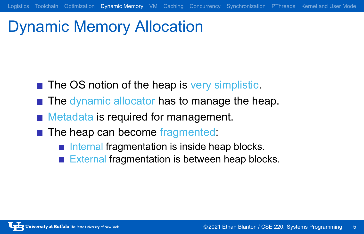# Dynamic Memory Allocation

- The OS notion of the heap is very simplistic.
- The dynamic allocator has to manage the heap.

- **Metadata is required for management.**
- The heap can become fragmented:
	- Internal fragmentation is inside heap blocks.
	- External fragmentation is between heap blocks.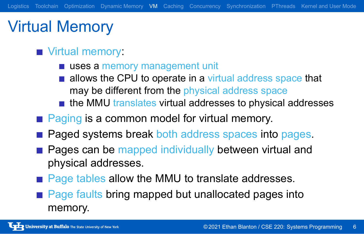# Virtual Memory

### **Virtual memory:**

- uses a memory management unit
- allows the CPU to operate in a virtual address space that may be different from the physical address space
- $\blacksquare$  the MMU translates virtual addresses to physical addresses
- Paging is a common model for virtual memory.
- **Paged systems break both address spaces into pages.**
- **Pages can be mapped individually between virtual and** physical addresses.
- Page tables allow the MMU to translate addresses.
- **Page faults bring mapped but unallocated pages into** memory.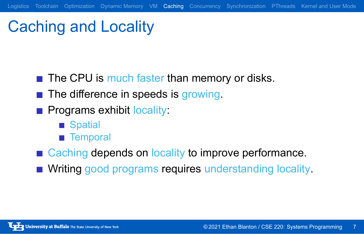# Caching and Locality

- The CPU is much faster than memory or disks.
- The difference in speeds is growing.
- **Programs exhibit locality:** 
	- Spatial
	- **Temporal**
- Caching depends on locality to improve performance.
- **Niting good programs requires understanding locality.**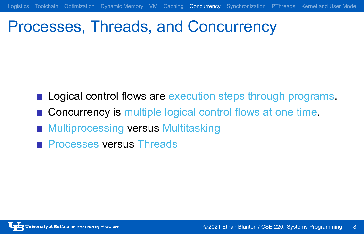# Processes, Threads, and Concurrency

**Logical control flows are execution steps through programs.** 

- Concurrency is multiple logical control flows at one time.
- **Multiprocessing versus Multitasking**
- **Processes versus Threads**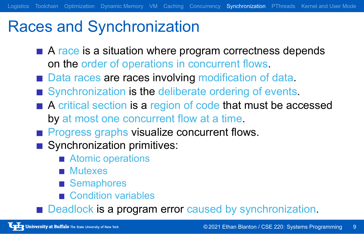## Races and Synchronization

A race is a situation where program correctness depends on the order of operations in concurrent flows.

- Data races are races involving modification of data.
- Synchronization is the deliberate ordering of events.
- A critical section is a region of code that must be accessed by at most one concurrent flow at a time.
- **Progress graphs visualize concurrent flows.**
- Synchronization primitives:
	- **Atomic operations**
	- **Mutexes**
	- Semaphores
	- Condition variables
- Deadlock is a program error caused by synchronization.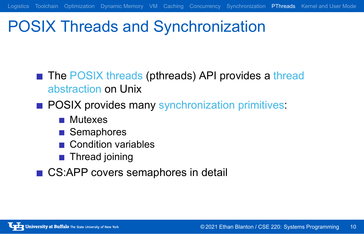# POSIX Threads and Synchronization

■ The POSIX threads (pthreads) API provides a thread abstraction on Unix

- **POSIX provides many synchronization primitives:** 
	- **Mutexes**
	- **■** Semaphores
	- Condition variables
	- **Thread joining**
- CS:APP covers semaphores in detail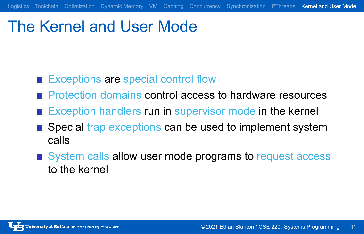# The Kernel and User Mode

- Exceptions are special control flow
- Protection domains control access to hardware resources

- Exception handlers run in supervisor mode in the kernel
- Special trap exceptions can be used to implement system calls
- System calls allow user mode programs to request access to the kernel